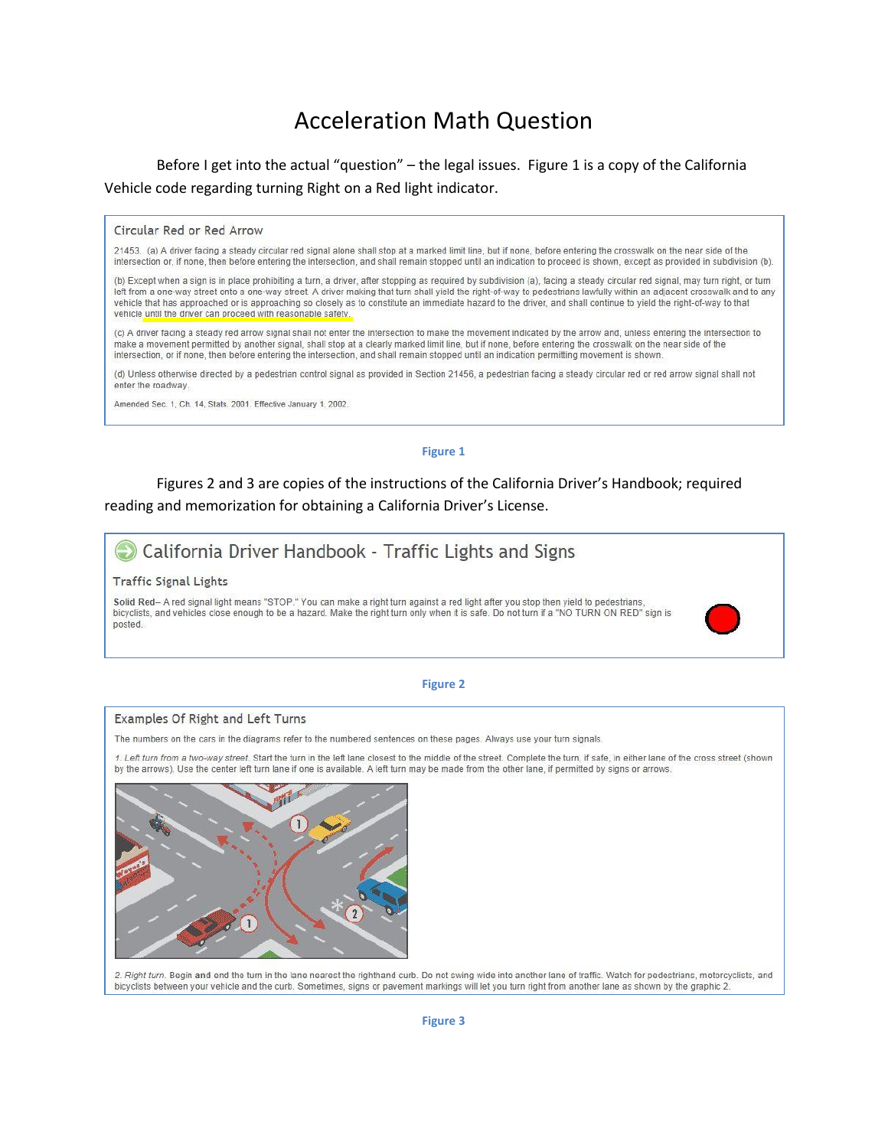# Acceleration Math Question

Before I get into the actual "question" – the legal issues. Figure 1 is a copy of the California Vehicle code regarding turning Right on a Red light indicator.

## Circular Red or Red Arrow

21453. (a) A driver facing a steady circular red signal alone shall stop at a marked limit line, but if none, before entering the crosswalk on the near side of the intersection or, if none, then before entering the intersection, and shall remain stopped until an indication to proceed is shown, except as provided in subdivision (b).

(b) Except when a sign is in place prohibiting a turn, a driver, after stopping as required by subdivision (a), facing a steady circular red signal, may turn right, or turn left from a one-way street onto a one-way street. A driver making that turn shall yield the right-of-way to pedestrians lawfully within an adjacent crosswalk and to any vehicle that has approached or is approaching so closely as to constitute an immediate hazard to the driver, and shall continue to yield the right-of-way to that vehicle until the driver can proceed with reasonable safety

(c) A driver facing a steady red arrow signal shall not enter the intersection to make the movement indicated by the arrow and, unless entering the intersection to make a movement permitted by another signal, shall stop at a clearly marked limit line, but if none, before entering the crosswalk on the near side of the intersection, or if none, then before entering the intersection, and shall remain stopped until an indication permitting movement is shown.

(d) Unless otherwise directed by a pedestrian control signal as provided in Section 21456, a pedestrian facing a steady circular red or red arrow signal shall not enter the roadway

Amended Sec. 1, Ch. 14, Stats. 2001. Effective January 1, 2002.

# **Figure 1**

# Figures 2 and 3 are copies of the instructions of the California Driver's Handbook; required reading and memorization for obtaining a California Driver's License.

# California Driver Handbook - Traffic Lights and Signs

### **Traffic Signal Lights**

Solid Red-A red signal light means "STOP." You can make a right turn against a red light after you stop then yield to pedestrians, bicyclists, and vehicles close enough to be a hazard. Make the right turn only when it is safe. Do not turn if a "NO TURN ON RED" sign is posted.



#### **Figure 2**

#### Examples Of Right and Left Turns

The numbers on the cars in the diagrams refer to the numbered sentences on these pages. Always use your turn signals.

1. Left turn from a two-way street. Start the turn in the left lane closest to the middle of the street. Complete the turn, if safe, in either lane of the cross street (shown by the arrows). Use the center left turn lane if one is available. A left turn may be made from the other lane, if permitted by signs or arrows.



2. Right turn. Begin and end the turn in the lane nearest the righthand curb. Do not swing wide into another lane of traffic. Watch for pedestrians, motorcyclists, and bicyclists between your vehicle and the curb. Sometimes, signs or pavement markings will let you turn right from another lane as shown by the graphic 2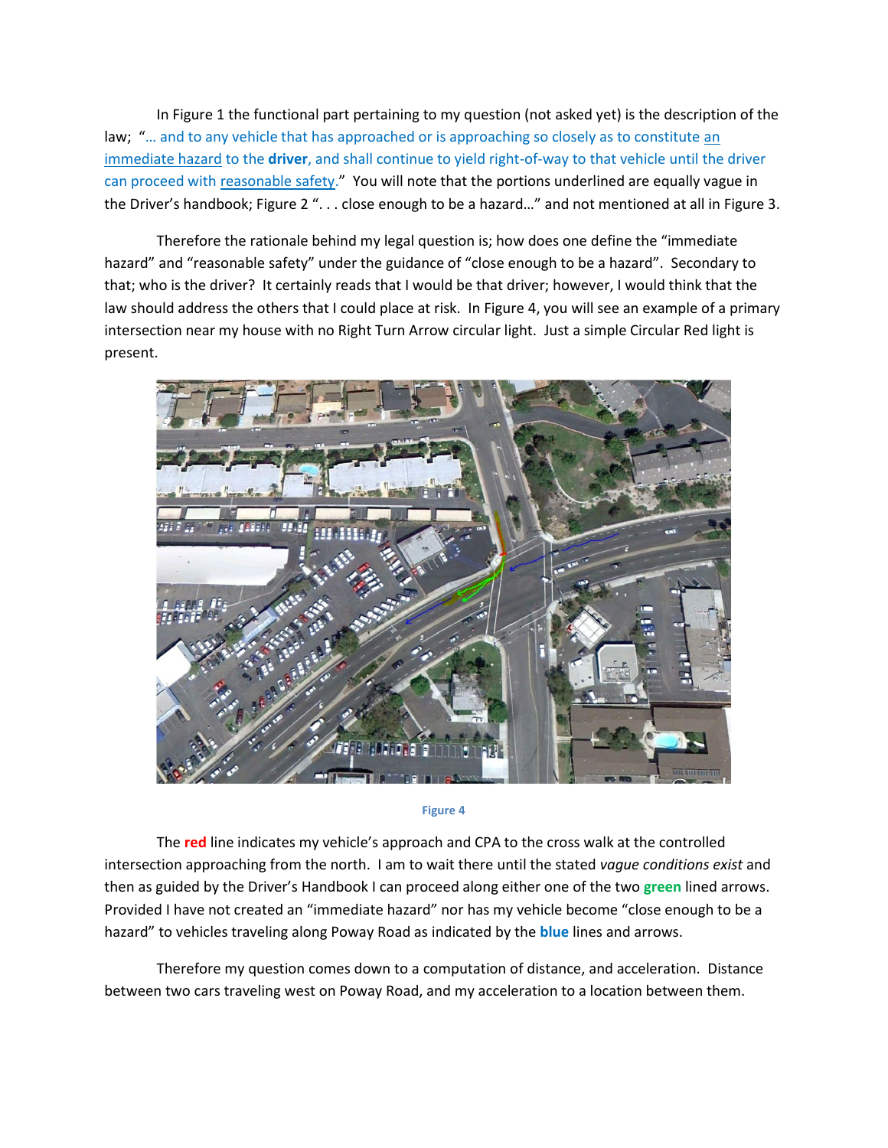In Figure 1 the functional part pertaining to my question (not asked yet) is the description of the law; "… and to any vehicle that has approached or is approaching so closely as to constitute an immediate hazard to the **driver**, and shall continue to yield right-of-way to that vehicle until the driver can proceed with reasonable safety." You will note that the portions underlined are equally vague in the Driver's handbook; Figure 2 ". . . close enough to be a hazard…" and not mentioned at all in Figure 3.

Therefore the rationale behind my legal question is; how does one define the "immediate hazard" and "reasonable safety" under the guidance of "close enough to be a hazard". Secondary to that; who is the driver? It certainly reads that I would be that driver; however, I would think that the law should address the others that I could place at risk. In Figure 4, you will see an example of a primary intersection near my house with no Right Turn Arrow circular light. Just a simple Circular Red light is present.



## **Figure 4**

The **red** line indicates my vehicle's approach and CPA to the cross walk at the controlled intersection approaching from the north. I am to wait there until the stated *vague conditions exist* and then as guided by the Driver's Handbook I can proceed along either one of the two **green** lined arrows. Provided I have not created an "immediate hazard" nor has my vehicle become "close enough to be a hazard" to vehicles traveling along Poway Road as indicated by the **blue** lines and arrows.

Therefore my question comes down to a computation of distance, and acceleration. Distance between two cars traveling west on Poway Road, and my acceleration to a location between them.